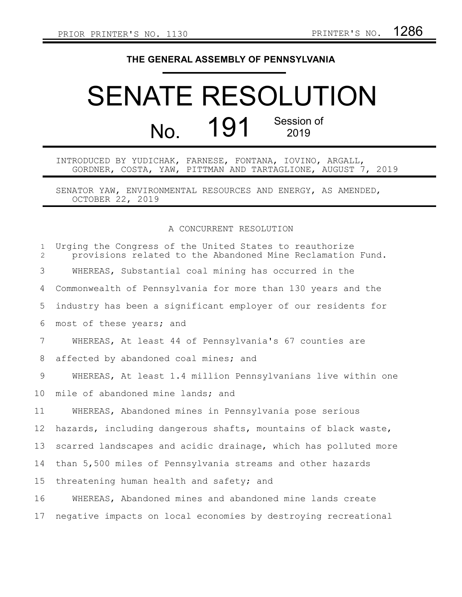## **THE GENERAL ASSEMBLY OF PENNSYLVANIA**

## SENATE RESOLUTION No. 191 Session of 2019

INTRODUCED BY YUDICHAK, FARNESE, FONTANA, IOVINO, ARGALL, GORDNER, COSTA, YAW, PITTMAN AND TARTAGLIONE, AUGUST 7, 2019

SENATOR YAW, ENVIRONMENTAL RESOURCES AND ENERGY, AS AMENDED, OCTOBER 22, 2019

## A CONCURRENT RESOLUTION

| $\mathbf{1}$<br>$\overline{2}$ | Urging the Congress of the United States to reauthorize<br>provisions related to the Abandoned Mine Reclamation Fund. |
|--------------------------------|-----------------------------------------------------------------------------------------------------------------------|
| 3                              | WHEREAS, Substantial coal mining has occurred in the                                                                  |
| 4                              | Commonwealth of Pennsylvania for more than 130 years and the                                                          |
| 5                              | industry has been a significant employer of our residents for                                                         |
| 6                              | most of these years; and                                                                                              |
| 7                              | WHEREAS, At least 44 of Pennsylvania's 67 counties are                                                                |
| 8                              | affected by abandoned coal mines; and                                                                                 |
| 9                              | WHEREAS, At least 1.4 million Pennsylvanians live within one                                                          |
| 10                             | mile of abandoned mine lands; and                                                                                     |
| 11                             | WHEREAS, Abandoned mines in Pennsylvania pose serious                                                                 |
| 12                             | hazards, including dangerous shafts, mountains of black waste,                                                        |
| 13                             | scarred landscapes and acidic drainage, which has polluted more                                                       |
| 14                             | than 5,500 miles of Pennsylvania streams and other hazards                                                            |
| 15                             | threatening human health and safety; and                                                                              |
| 16                             | WHEREAS, Abandoned mines and abandoned mine lands create                                                              |
| 17                             | negative impacts on local economies by destroying recreational                                                        |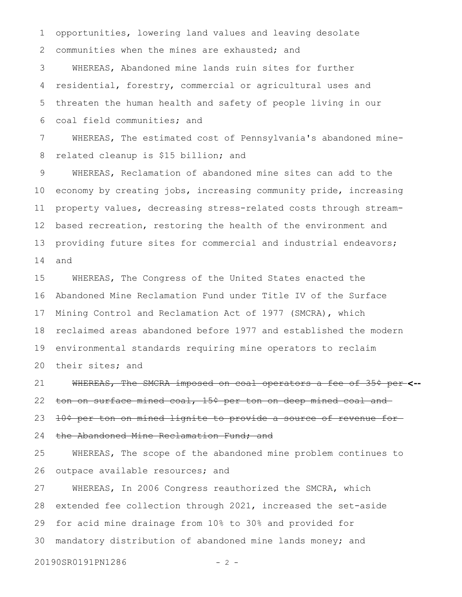communities when the mines are exhausted; and WHEREAS, Abandoned mine lands ruin sites for further residential, forestry, commercial or agricultural uses and threaten the human health and safety of people living in our coal field communities; and 2 3 4 5 6

opportunities, lowering land values and leaving desolate

WHEREAS, The estimated cost of Pennsylvania's abandoned minerelated cleanup is \$15 billion; and 7 8

WHEREAS, Reclamation of abandoned mine sites can add to the economy by creating jobs, increasing community pride, increasing property values, decreasing stress-related costs through streambased recreation, restoring the health of the environment and providing future sites for commercial and industrial endeavors; and 9 10 11 12 13 14

WHEREAS, The Congress of the United States enacted the Abandoned Mine Reclamation Fund under Title IV of the Surface Mining Control and Reclamation Act of 1977 (SMCRA), which reclaimed areas abandoned before 1977 and established the modern environmental standards requiring mine operators to reclaim their sites; and 15 16 17 18 19 20

WHEREAS, The SMCRA imposed on coal operators a fee of 35¢ per **<-** ton on surface mined coal, 15¢ per ton on deep mined coal and 10¢ per ton on mined lignite to provide a source of revenue for the Abandoned Mine Reclamation Fund; and 21 22 23 24

WHEREAS, The scope of the abandoned mine problem continues to outpace available resources; and 25 26

WHEREAS, In 2006 Congress reauthorized the SMCRA, which extended fee collection through 2021, increased the set-aside for acid mine drainage from 10% to 30% and provided for mandatory distribution of abandoned mine lands money; and 27 28 29 30

20190SR0191PN1286 - 2 -

1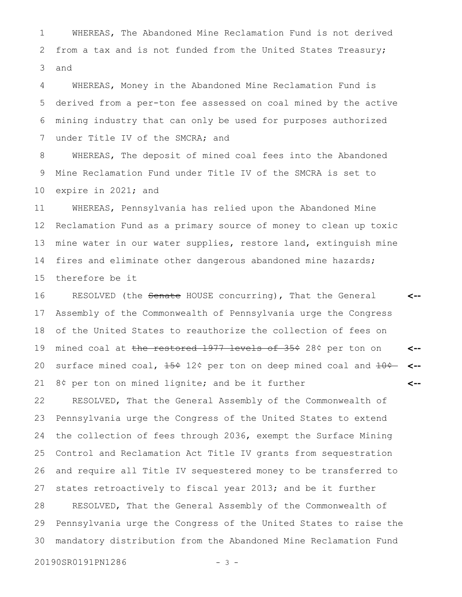WHEREAS, The Abandoned Mine Reclamation Fund is not derived from a tax and is not funded from the United States Treasury; and 1 2 3

WHEREAS, Money in the Abandoned Mine Reclamation Fund is derived from a per-ton fee assessed on coal mined by the active mining industry that can only be used for purposes authorized under Title IV of the SMCRA; and 4 5 6 7

WHEREAS, The deposit of mined coal fees into the Abandoned Mine Reclamation Fund under Title IV of the SMCRA is set to expire in 2021; and 8 9 10

WHEREAS, Pennsylvania has relied upon the Abandoned Mine Reclamation Fund as a primary source of money to clean up toxic mine water in our water supplies, restore land, extinguish mine fires and eliminate other dangerous abandoned mine hazards; therefore be it 11 12 13 14 15

RESOLVED (the Senate HOUSE concurring), That the General Assembly of the Commonwealth of Pennsylvania urge the Congress of the United States to reauthorize the collection of fees on mined coal at the restored 1977 levels of 35¢ 28¢ per ton on surface mined coal,  $15 ÷ 12$ ¢ per ton on deep mined coal and  $10 ÷ -$ 8¢ per ton on mined lignite; and be it further **<-- <-- <-- <--** 16 17 18 19 20 21

RESOLVED, That the General Assembly of the Commonwealth of Pennsylvania urge the Congress of the United States to extend the collection of fees through 2036, exempt the Surface Mining Control and Reclamation Act Title IV grants from sequestration and require all Title IV sequestered money to be transferred to states retroactively to fiscal year 2013; and be it further RESOLVED, That the General Assembly of the Commonwealth of Pennsylvania urge the Congress of the United States to raise the mandatory distribution from the Abandoned Mine Reclamation Fund 22 23 24 25 26 27 28 29 30

20190SR0191PN1286 - 3 -